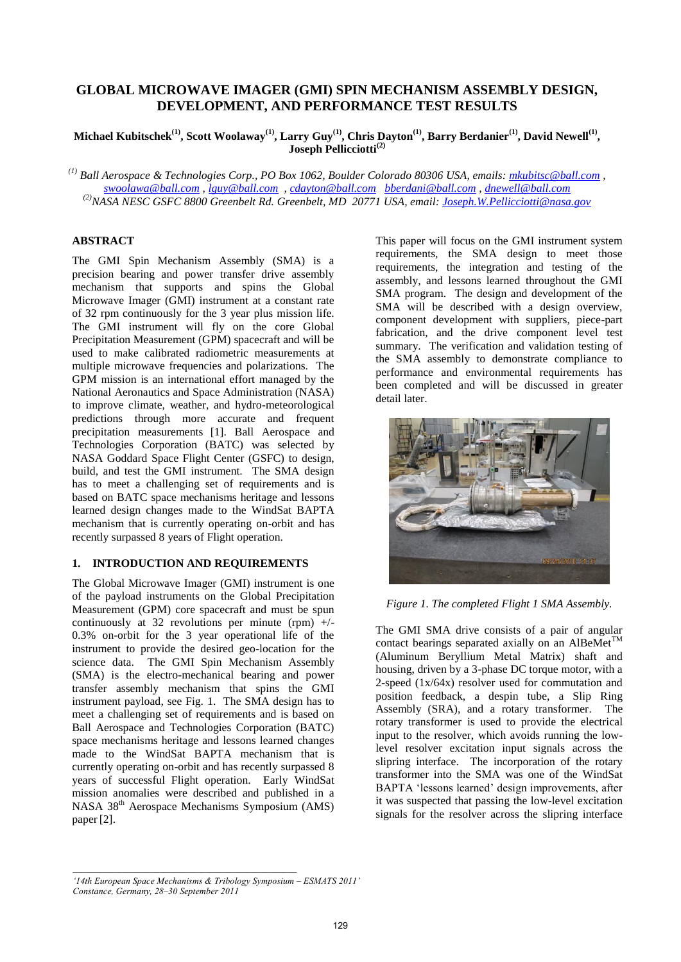# **GLOBAL MICROWAVE IMAGER (GMI) SPIN MECHANISM ASSEMBLY DESIGN, DEVELOPMENT, AND PERFORMANCE TEST RESULTS**

**Michael Kubitschek(1), Scott Woolaway(1) , Larry Guy(1) , Chris Dayton(1) , Barry Berdanier(1) , David Newell(1) , Joseph Pellicciotti(2)**

*(1) Ball Aerospace & Technologies Corp., PO Box 1062, Boulder Colorado 80306 USA, emails: mkubitsc@ball.com , swoolawa@ball.com , lguy@ball.com , cdayton@ball.com bberdani@ball.com , dnewell@ball.com (2)NASA NESC GSFC 8800 Greenbelt Rd. Greenbelt, MD 20771 USA, email: Joseph.W.Pellicciotti@nasa.gov* 

## **ABSTRACT**

The GMI Spin Mechanism Assembly (SMA) is a precision bearing and power transfer drive assembly mechanism that supports and spins the Global Microwave Imager (GMI) instrument at a constant rate of 32 rpm continuously for the 3 year plus mission life. The GMI instrument will fly on the core Global Precipitation Measurement (GPM) spacecraft and will be used to make calibrated radiometric measurements at multiple microwave frequencies and polarizations. The GPM mission is an international effort managed by the National Aeronautics and Space Administration (NASA) to improve climate, weather, and hydro-meteorological predictions through more accurate and frequent precipitation measurements [1]. Ball Aerospace and Technologies Corporation (BATC) was selected by NASA Goddard Space Flight Center (GSFC) to design, build, and test the GMI instrument. The SMA design has to meet a challenging set of requirements and is based on BATC space mechanisms heritage and lessons learned design changes made to the WindSat BAPTA mechanism that is currently operating on-orbit and has recently surpassed 8 years of Flight operation.

## **1. INTRODUCTION AND REQUIREMENTS**

The Global Microwave Imager (GMI) instrument is one of the payload instruments on the Global Precipitation Measurement (GPM) core spacecraft and must be spun continuously at 32 revolutions per minute (rpm)  $+/-$ 0.3% on-orbit for the 3 year operational life of the instrument to provide the desired geo-location for the science data. The GMI Spin Mechanism Assembly (SMA) is the electro-mechanical bearing and power transfer assembly mechanism that spins the GMI instrument payload, see Fig. 1. The SMA design has to meet a challenging set of requirements and is based on Ball Aerospace and Technologies Corporation (BATC) space mechanisms heritage and lessons learned changes made to the WindSat BAPTA mechanism that is currently operating on-orbit and has recently surpassed 8 years of successful Flight operation. Early WindSat mission anomalies were described and published in a NASA 38th Aerospace Mechanisms Symposium (AMS) paper[2].

This paper will focus on the GMI instrument system requirements, the SMA design to meet those requirements, the integration and testing of the assembly, and lessons learned throughout the GMI SMA program. The design and development of the SMA will be described with a design overview, component development with suppliers, piece-part fabrication, and the drive component level test summary. The verification and validation testing of the SMA assembly to demonstrate compliance to performance and environmental requirements has been completed and will be discussed in greater detail later.



*Figure 1. The completed Flight 1 SMA Assembly.* 

The GMI SMA drive consists of a pair of angular contact bearings separated axially on an AlBeMet<sup>TM</sup> (Aluminum Beryllium Metal Matrix) shaft and housing, driven by a 3-phase DC torque motor, with a 2-speed (1x/64x) resolver used for commutation and position feedback, a despin tube, a Slip Ring Assembly (SRA), and a rotary transformer. The rotary transformer is used to provide the electrical input to the resolver, which avoids running the lowlevel resolver excitation input signals across the slipring interface. The incorporation of the rotary transformer into the SMA was one of the WindSat BAPTA 'lessons learned' design improvements, after it was suspected that passing the low-level excitation signals for the resolver across the slipring interface

*<sup>&#</sup>x27;14th European Space Mechanisms & Tribology Symposium – ESMATS 2011' Constance, Germany, 28–30 September 2011*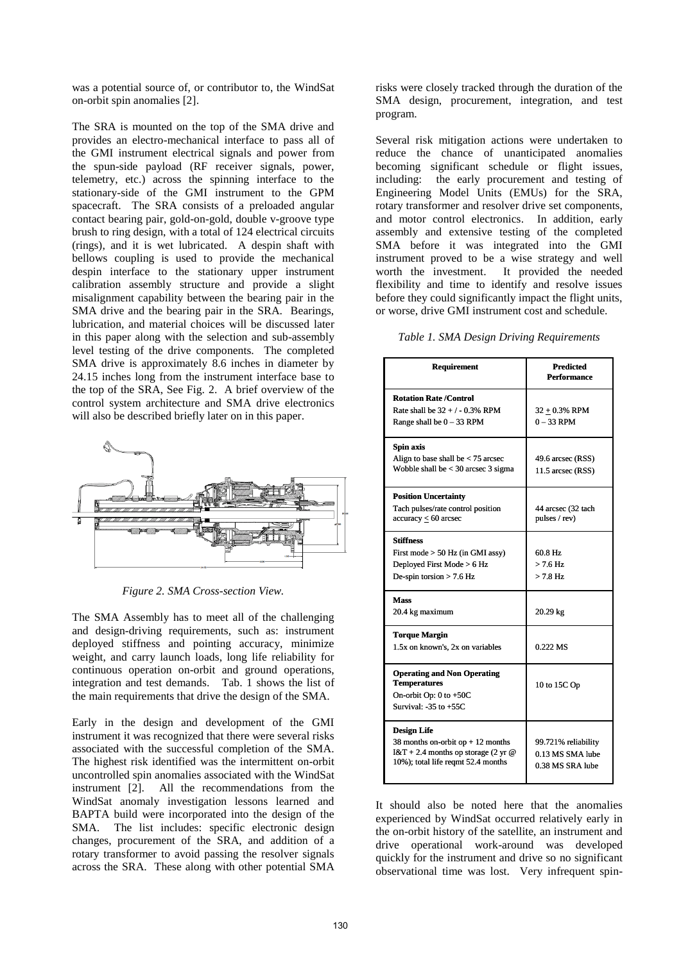was a potential source of, or contributor to, the WindSat on-orbit spin anomalies [2].

The SRA is mounted on the top of the SMA drive and provides an electro-mechanical interface to pass all of the GMI instrument electrical signals and power from the spun-side payload (RF receiver signals, power, telemetry, etc.) across the spinning interface to the stationary-side of the GMI instrument to the GPM spacecraft. The SRA consists of a preloaded angular contact bearing pair, gold-on-gold, double v-groove type brush to ring design, with a total of 124 electrical circuits (rings), and it is wet lubricated. A despin shaft with bellows coupling is used to provide the mechanical despin interface to the stationary upper instrument calibration assembly structure and provide a slight misalignment capability between the bearing pair in the SMA drive and the bearing pair in the SRA. Bearings, lubrication, and material choices will be discussed later in this paper along with the selection and sub-assembly level testing of the drive components. The completed SMA drive is approximately 8.6 inches in diameter by 24.15 inches long from the instrument interface base to the top of the SRA, See Fig. 2. A brief overview of the control system architecture and SMA drive electronics will also be described briefly later on in this paper.



*Figure 2. SMA Cross-section View.* 

The SMA Assembly has to meet all of the challenging and design-driving requirements, such as: instrument deployed stiffness and pointing accuracy, minimize weight, and carry launch loads, long life reliability for continuous operation on-orbit and ground operations, integration and test demands. Tab. 1 shows the list of the main requirements that drive the design of the SMA.

Early in the design and development of the GMI instrument it was recognized that there were several risks associated with the successful completion of the SMA. The highest risk identified was the intermittent on-orbit uncontrolled spin anomalies associated with the WindSat instrument [2]. All the recommendations from the WindSat anomaly investigation lessons learned and BAPTA build were incorporated into the design of the SMA. The list includes: specific electronic design changes, procurement of the SRA, and addition of a rotary transformer to avoid passing the resolver signals across the SRA. These along with other potential SMA risks were closely tracked through the duration of the SMA design, procurement, integration, and test program.

Several risk mitigation actions were undertaken to reduce the chance of unanticipated anomalies becoming significant schedule or flight issues, including: the early procurement and testing of Engineering Model Units (EMUs) for the SRA, rotary transformer and resolver drive set components, and motor control electronics. In addition, early assembly and extensive testing of the completed SMA before it was integrated into the GMI instrument proved to be a wise strategy and well<br>worth the investment. It provided the needed It provided the needed flexibility and time to identify and resolve issues before they could significantly impact the flight units, or worse, drive GMI instrument cost and schedule.

#### *Table 1. SMA Design Driving Requirements*

| <b>Requirement</b>                                                                                                                      | <b>Predicted</b><br><b>Performance</b>                      |
|-----------------------------------------------------------------------------------------------------------------------------------------|-------------------------------------------------------------|
| <b>Rotation Rate /Control</b><br>Rate shall be $32 + 7 - 0.3\%$ RPM<br>Range shall be $0 - 33$ RPM                                      | $32 \pm 0.3\%$ RPM<br>$0 - 33$ RPM                          |
| Spin axis<br>Align to base shall be $<$ 75 arcsec<br>Wobble shall be $<$ 30 arcsec 3 sigma                                              | 49.6 arcsec (RSS)<br>11.5 arcsec (RSS)                      |
| <b>Position Uncertainty</b><br>Tach pulses/rate control position<br>$accuracy \leq 60$ arcsec                                           | 44 arcsec (32 tach<br>pulses / rev)                         |
| <b>Stiffness</b><br>First mode $> 50$ Hz (in GMI assy)<br>Deployed First Mode > 6 Hz<br>De-spin torsion $> 7.6$ Hz                      | 60.8 Hz<br>$>$ 7.6 Hz<br>$> 7.8$ Hz                         |
| <b>Mass</b><br>20.4 kg maximum                                                                                                          | 20.29 kg                                                    |
| <b>Torque Margin</b><br>1.5x on known's, 2x on variables                                                                                | 0.222 MS                                                    |
| <b>Operating and Non Operating</b><br><b>Temperatures</b><br>On-orbit Op: $0$ to $+50C$<br>Survival: $-35$ to $+55C$                    | 10 to 15C Op                                                |
| <b>Design Life</b><br>38 months on-orbit op $+12$ months<br>$I&T + 2.4$ months op storage (2 yr @<br>10%); total life reqmt 52.4 months | 99.721% reliability<br>0.13 MS SMA lube<br>0.38 MS SRA lube |

It should also be noted here that the anomalies experienced by WindSat occurred relatively early in the on-orbit history of the satellite, an instrument and drive operational work-around was developed quickly for the instrument and drive so no significant observational time was lost. Very infrequent spin-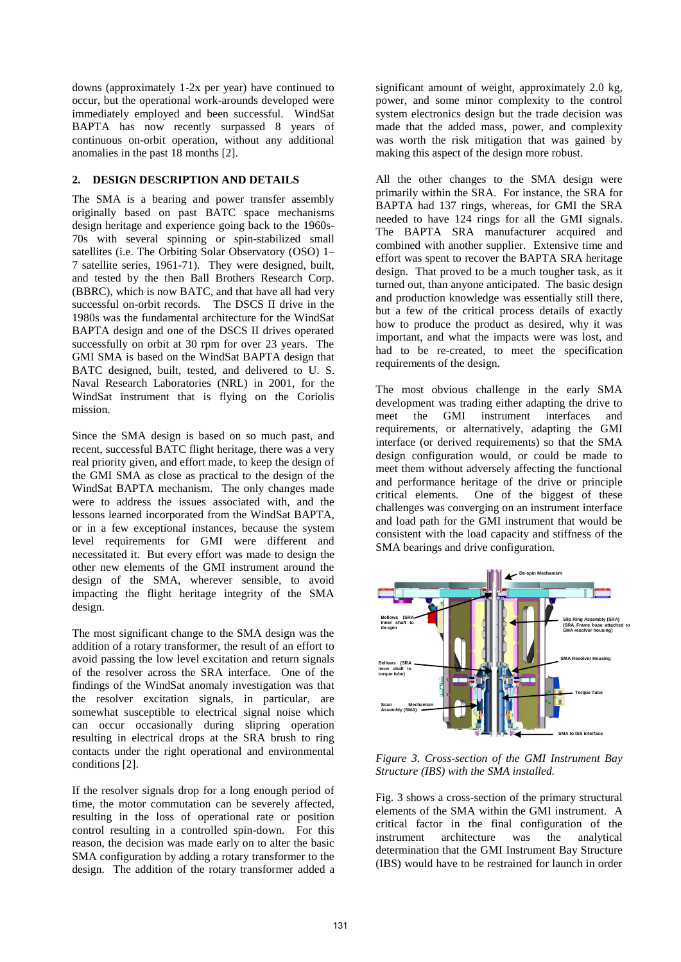downs (approximately 1-2x per year) have continued to occur, but the operational work-arounds developed were immediately employed and been successful. WindSat BAPTA has now recently surpassed 8 years of continuous on-orbit operation, without any additional anomalies in the past 18 months [2].

## **2. DESIGN DESCRIPTION AND DETAILS**

The SMA is a bearing and power transfer assembly originally based on past BATC space mechanisms design heritage and experience going back to the 1960s-70s with several spinning or spin-stabilized small satellites (i.e. The Orbiting Solar Observatory (OSO) 1– 7 satellite series, 1961-71). They were designed, built, and tested by the then Ball Brothers Research Corp. (BBRC), which is now BATC, and that have all had very successful on-orbit records. The DSCS II drive in the 1980s was the fundamental architecture for the WindSat BAPTA design and one of the DSCS II drives operated successfully on orbit at 30 rpm for over 23 years. The GMI SMA is based on the WindSat BAPTA design that BATC designed, built, tested, and delivered to U. S. Naval Research Laboratories (NRL) in 2001, for the WindSat instrument that is flying on the Coriolis mission.

Since the SMA design is based on so much past, and recent, successful BATC flight heritage, there was a very real priority given, and effort made, to keep the design of the GMI SMA as close as practical to the design of the WindSat BAPTA mechanism. The only changes made were to address the issues associated with, and the lessons learned incorporated from the WindSat BAPTA, or in a few exceptional instances, because the system level requirements for GMI were different and necessitated it. But every effort was made to design the other new elements of the GMI instrument around the design of the SMA, wherever sensible, to avoid impacting the flight heritage integrity of the SMA design.

The most significant change to the SMA design was the addition of a rotary transformer, the result of an effort to avoid passing the low level excitation and return signals of the resolver across the SRA interface. One of the findings of the WindSat anomaly investigation was that the resolver excitation signals, in particular, are somewhat susceptible to electrical signal noise which can occur occasionally during slipring operation resulting in electrical drops at the SRA brush to ring contacts under the right operational and environmental conditions [2].

If the resolver signals drop for a long enough period of time, the motor commutation can be severely affected, resulting in the loss of operational rate or position control resulting in a controlled spin-down. For this reason, the decision was made early on to alter the basic SMA configuration by adding a rotary transformer to the design. The addition of the rotary transformer added a significant amount of weight, approximately 2.0 kg, power, and some minor complexity to the control system electronics design but the trade decision was made that the added mass, power, and complexity was worth the risk mitigation that was gained by making this aspect of the design more robust.

All the other changes to the SMA design were primarily within the SRA. For instance, the SRA for BAPTA had 137 rings, whereas, for GMI the SRA needed to have 124 rings for all the GMI signals. The BAPTA SRA manufacturer acquired and combined with another supplier. Extensive time and effort was spent to recover the BAPTA SRA heritage design. That proved to be a much tougher task, as it turned out, than anyone anticipated. The basic design and production knowledge was essentially still there, but a few of the critical process details of exactly how to produce the product as desired, why it was important, and what the impacts were was lost, and had to be re-created, to meet the specification requirements of the design.

The most obvious challenge in the early SMA development was trading either adapting the drive to meet the GMI instrument interfaces and requirements, or alternatively, adapting the GMI interface (or derived requirements) so that the SMA design configuration would, or could be made to meet them without adversely affecting the functional and performance heritage of the drive or principle critical elements. One of the biggest of these One of the biggest of these challenges was converging on an instrument interface and load path for the GMI instrument that would be consistent with the load capacity and stiffness of the SMA bearings and drive configuration.



*Figure 3. Cross-section of the GMI Instrument Bay Structure (IBS) with the SMA installed.* 

Fig. 3 shows a cross-section of the primary structural elements of the SMA within the GMI instrument. A critical factor in the final configuration of the instrument architecture was the analytical determination that the GMI Instrument Bay Structure (IBS) would have to be restrained for launch in order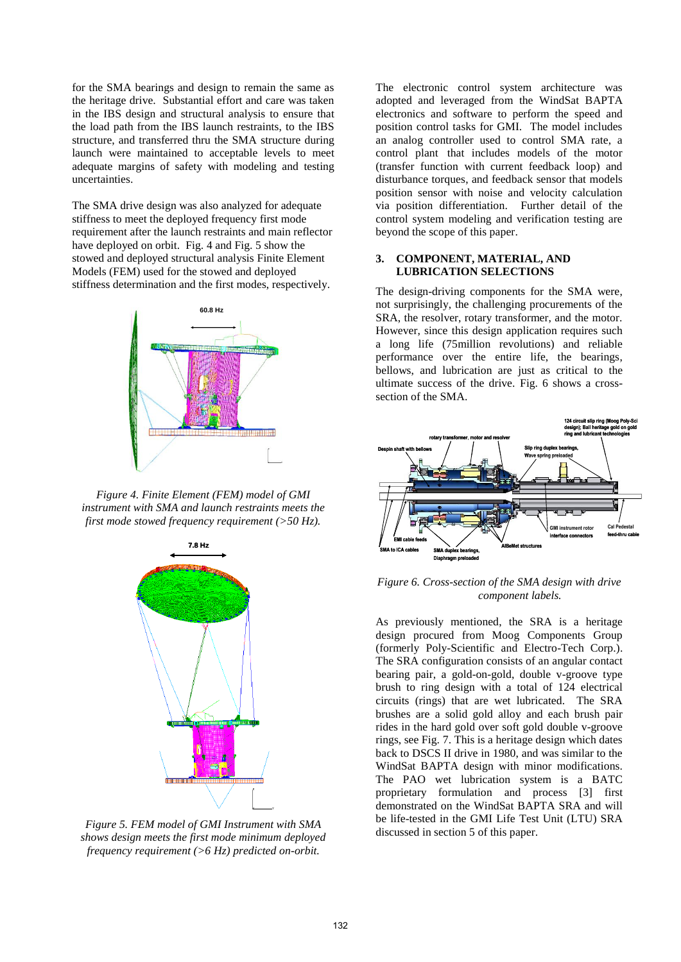for the SMA bearings and design to remain the same as the heritage drive. Substantial effort and care was taken in the IBS design and structural analysis to ensure that the load path from the IBS launch restraints, to the IBS structure, and transferred thru the SMA structure during launch were maintained to acceptable levels to meet adequate margins of safety with modeling and testing uncertainties.

The SMA drive design was also analyzed for adequate stiffness to meet the deployed frequency first mode requirement after the launch restraints and main reflector have deployed on orbit. Fig. 4 and Fig. 5 show the stowed and deployed structural analysis Finite Element Models (FEM) used for the stowed and deployed stiffness determination and the first modes, respectively.



*Figure 4. Finite Element (FEM) model of GMI instrument with SMA and launch restraints meets the first mode stowed frequency requirement (>50 Hz).* 



*Figure 5. FEM model of GMI Instrument with SMA shows design meets the first mode minimum deployed frequency requirement (>6 Hz) predicted on-orbit.* 

The electronic control system architecture was adopted and leveraged from the WindSat BAPTA electronics and software to perform the speed and position control tasks for GMI. The model includes an analog controller used to control SMA rate, a control plant that includes models of the motor (transfer function with current feedback loop) and disturbance torques, and feedback sensor that models position sensor with noise and velocity calculation via position differentiation. Further detail of the control system modeling and verification testing are beyond the scope of this paper.

## **3. COMPONENT, MATERIAL, AND LUBRICATION SELECTIONS**

The design-driving components for the SMA were, not surprisingly, the challenging procurements of the SRA, the resolver, rotary transformer, and the motor. However, since this design application requires such a long life (75million revolutions) and reliable performance over the entire life, the bearings, bellows, and lubrication are just as critical to the ultimate success of the drive. Fig. 6 shows a crosssection of the SMA.



*Figure 6. Cross-section of the SMA design with drive component labels.* 

As previously mentioned, the SRA is a heritage design procured from Moog Components Group (formerly Poly-Scientific and Electro-Tech Corp.). The SRA configuration consists of an angular contact bearing pair, a gold-on-gold, double v-groove type brush to ring design with a total of 124 electrical circuits (rings) that are wet lubricated. The SRA brushes are a solid gold alloy and each brush pair rides in the hard gold over soft gold double v-groove rings, see Fig. 7. This is a heritage design which dates back to DSCS II drive in 1980, and was similar to the WindSat BAPTA design with minor modifications. The PAO wet lubrication system is a BATC proprietary formulation and process [3] first demonstrated on the WindSat BAPTA SRA and will be life-tested in the GMI Life Test Unit (LTU) SRA discussed in section 5 of this paper.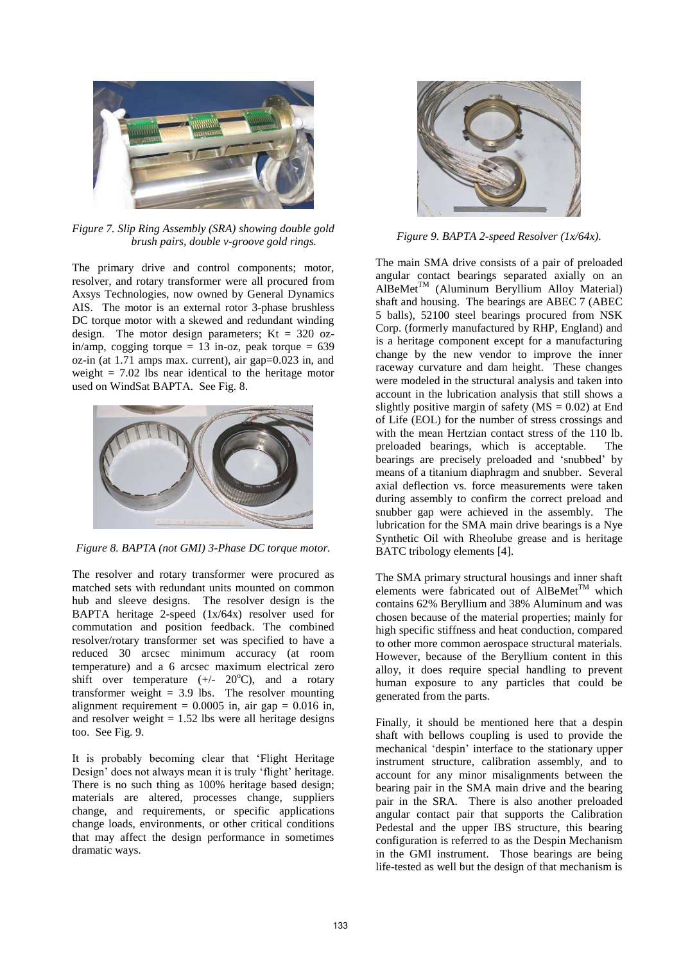

*Figure 7. Slip Ring Assembly (SRA) showing double gold brush pairs, double v-groove gold rings.* 

The primary drive and control components; motor, resolver, and rotary transformer were all procured from Axsys Technologies, now owned by General Dynamics AIS. The motor is an external rotor 3-phase brushless DC torque motor with a skewed and redundant winding design. The motor design parameters; Kt =  $320$  ozin/amp, cogging torque = 13 in-oz, peak torque =  $639$ oz-in (at 1.71 amps max. current), air gap=0.023 in, and weight  $= 7.02$  lbs near identical to the heritage motor used on WindSat BAPTA. See Fig. 8.



*Figure 8. BAPTA (not GMI) 3-Phase DC torque motor.* 

The resolver and rotary transformer were procured as matched sets with redundant units mounted on common hub and sleeve designs. The resolver design is the BAPTA heritage 2-speed (1x/64x) resolver used for commutation and position feedback. The combined resolver/rotary transformer set was specified to have a reduced 30 arcsec minimum accuracy (at room temperature) and a 6 arcsec maximum electrical zero shift over temperature  $(+/- 20^{\circ}C)$ , and a rotary transformer weight  $= 3.9$  lbs. The resolver mounting alignment requirement =  $0.0005$  in, air gap =  $0.016$  in, and resolver weight  $= 1.52$  lbs were all heritage designs too. See Fig. 9.

It is probably becoming clear that 'Flight Heritage Design' does not always mean it is truly 'flight' heritage. There is no such thing as 100% heritage based design; materials are altered, processes change, suppliers change, and requirements, or specific applications change loads, environments, or other critical conditions that may affect the design performance in sometimes dramatic ways.



*Figure 9. BAPTA 2-speed Resolver (1x/64x).* 

The main SMA drive consists of a pair of preloaded angular contact bearings separated axially on an  $AIBeMet^{TM}$  (Aluminum Beryllium Alloy Material) shaft and housing. The bearings are ABEC 7 (ABEC 5 balls), 52100 steel bearings procured from NSK Corp. (formerly manufactured by RHP, England) and is a heritage component except for a manufacturing change by the new vendor to improve the inner raceway curvature and dam height. These changes were modeled in the structural analysis and taken into account in the lubrication analysis that still shows a slightly positive margin of safety ( $MS = 0.02$ ) at End of Life (EOL) for the number of stress crossings and with the mean Hertzian contact stress of the 110 lb. preloaded bearings, which is acceptable. The bearings are precisely preloaded and 'snubbed' by means of a titanium diaphragm and snubber. Several axial deflection vs. force measurements were taken during assembly to confirm the correct preload and snubber gap were achieved in the assembly. The lubrication for the SMA main drive bearings is a Nye Synthetic Oil with Rheolube grease and is heritage BATC tribology elements [4].

The SMA primary structural housings and inner shaft elements were fabricated out of AlBeMet<sup>TM</sup> which contains 62% Beryllium and 38% Aluminum and was chosen because of the material properties; mainly for high specific stiffness and heat conduction, compared to other more common aerospace structural materials. However, because of the Beryllium content in this alloy, it does require special handling to prevent human exposure to any particles that could be generated from the parts.

Finally, it should be mentioned here that a despin shaft with bellows coupling is used to provide the mechanical 'despin' interface to the stationary upper instrument structure, calibration assembly, and to account for any minor misalignments between the bearing pair in the SMA main drive and the bearing pair in the SRA. There is also another preloaded angular contact pair that supports the Calibration Pedestal and the upper IBS structure, this bearing configuration is referred to as the Despin Mechanism in the GMI instrument. Those bearings are being life-tested as well but the design of that mechanism is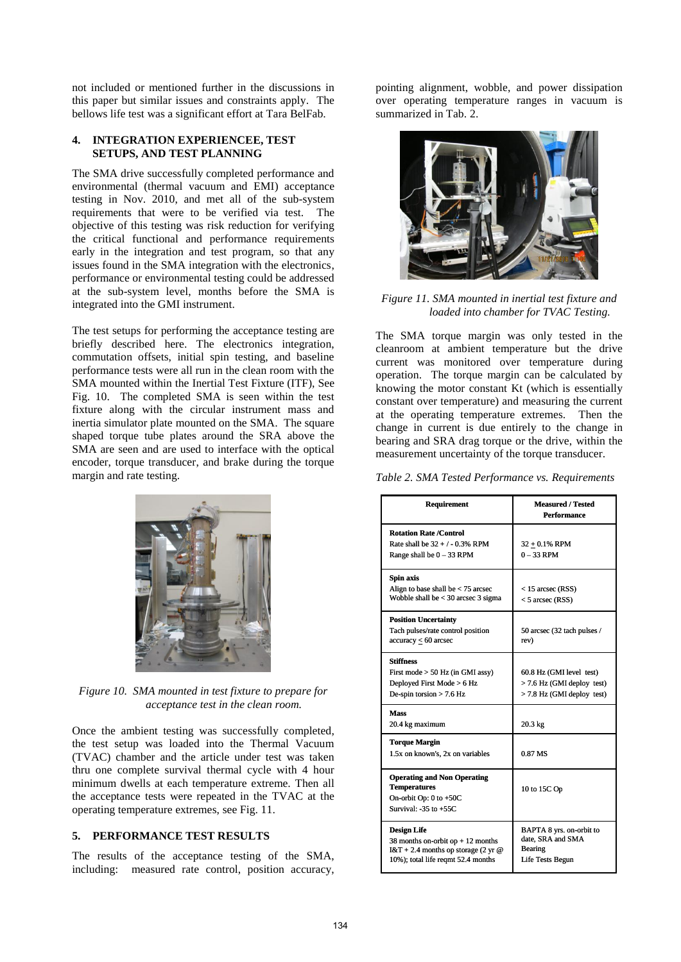not included or mentioned further in the discussions in this paper but similar issues and constraints apply. The bellows life test was a significant effort at Tara BelFab.

#### **4. INTEGRATION EXPERIENCEE, TEST SETUPS, AND TEST PLANNING**

The SMA drive successfully completed performance and environmental (thermal vacuum and EMI) acceptance testing in Nov. 2010, and met all of the sub-system requirements that were to be verified via test. The objective of this testing was risk reduction for verifying the critical functional and performance requirements early in the integration and test program, so that any issues found in the SMA integration with the electronics, performance or environmental testing could be addressed at the sub-system level, months before the SMA is integrated into the GMI instrument.

The test setups for performing the acceptance testing are briefly described here. The electronics integration, commutation offsets, initial spin testing, and baseline performance tests were all run in the clean room with the SMA mounted within the Inertial Test Fixture (ITF), See Fig. 10. The completed SMA is seen within the test fixture along with the circular instrument mass and inertia simulator plate mounted on the SMA. The square shaped torque tube plates around the SRA above the SMA are seen and are used to interface with the optical encoder, torque transducer, and brake during the torque margin and rate testing.



*Figure 10. SMA mounted in test fixture to prepare for acceptance test in the clean room.*

Once the ambient testing was successfully completed, the test setup was loaded into the Thermal Vacuum (TVAC) chamber and the article under test was taken thru one complete survival thermal cycle with 4 hour minimum dwells at each temperature extreme. Then all the acceptance tests were repeated in the TVAC at the operating temperature extremes, see Fig. 11.

## **5. PERFORMANCE TEST RESULTS**

The results of the acceptance testing of the SMA, including: measured rate control, position accuracy,

pointing alignment, wobble, and power dissipation over operating temperature ranges in vacuum is summarized in Tab. 2.



## *Figure 11. SMA mounted in inertial test fixture and loaded into chamber for TVAC Testing.*

The SMA torque margin was only tested in the cleanroom at ambient temperature but the drive current was monitored over temperature during operation. The torque margin can be calculated by knowing the motor constant Kt (which is essentially constant over temperature) and measuring the current at the operating temperature extremes. Then the change in current is due entirely to the change in bearing and SRA drag torque or the drive, within the measurement uncertainty of the torque transducer.

|  |  | Table 2. SMA Tested Performance vs. Requirements |
|--|--|--------------------------------------------------|
|  |  |                                                  |

| <b>Requirement</b>                                                                                                                        | <b>Measured / Tested</b><br><b>Performance</b>                                         |
|-------------------------------------------------------------------------------------------------------------------------------------------|----------------------------------------------------------------------------------------|
| <b>Rotation Rate /Control</b><br>Rate shall be $32 + / -0.3\%$ RPM<br>Range shall be $0 - 33$ RPM                                         | $32 + 0.1%$ RPM<br>$0 - 33$ RPM                                                        |
| Spin axis<br>Align to base shall be $<$ 75 arcsec<br>Wobble shall be $<$ 30 arcsec 3 sigma                                                | $<$ 15 arcsec (RSS)<br>$<$ 5 arcsec (RSS)                                              |
| <b>Position Uncertainty</b><br>Tach pulses/rate control position<br>$accuracy \leq 60$ arcsec                                             | 50 arcsec (32 tach pulses /<br>rev)                                                    |
| <b>Stiffness</b><br>First mode $> 50$ Hz (in GMI assy)<br>Deployed First Mode > 6 Hz<br>De-spin torsion $>$ 7.6 Hz                        | 60.8 Hz (GMI level test)<br>$>$ 7.6 Hz (GMI deploy test)<br>> 7.8 Hz (GMI deploy test) |
| Mass<br>20.4 kg maximum                                                                                                                   | 20.3 kg                                                                                |
| <b>Torque Margin</b><br>1.5x on known's, 2x on variables                                                                                  | 0.87 MS                                                                                |
| <b>Operating and Non Operating</b><br><b>Temperatures</b><br>On-orbit Op: $0$ to $+50C$<br>Survival: $-35$ to $+55C$                      | 10 to 15C Op                                                                           |
| <b>Design Life</b><br>38 months on-orbit op $+12$ months<br>$I & T + 2.4$ months op storage (2 yr @<br>10%); total life regmt 52.4 months | BAPTA 8 yrs. on-orbit to<br>date, SRA and SMA<br>Bearing<br>Life Tests Begun           |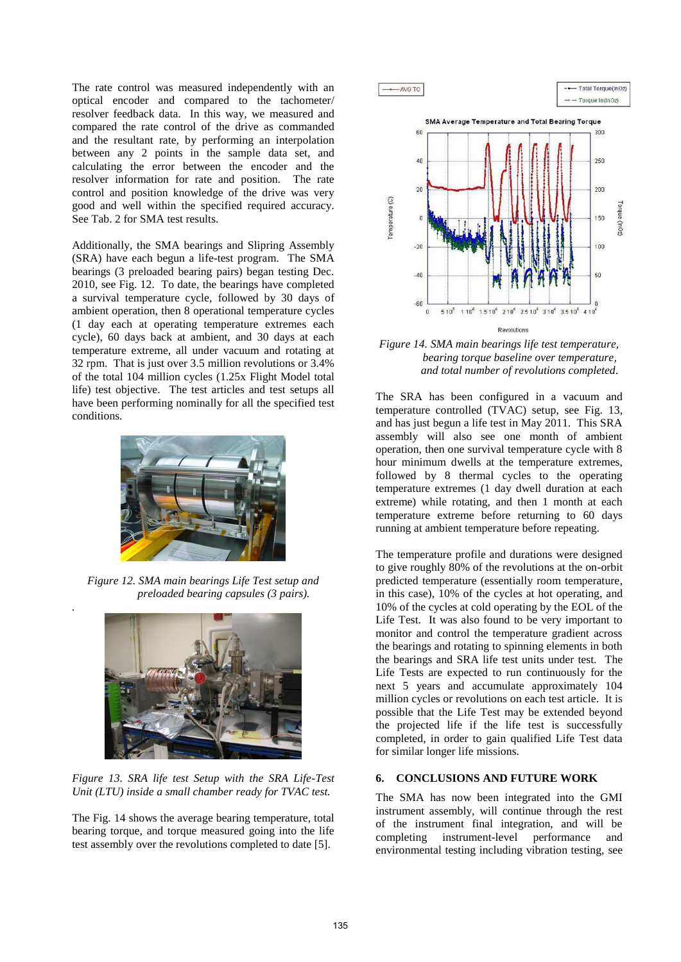The rate control was measured independently with an optical encoder and compared to the tachometer/ resolver feedback data. In this way, we measured and compared the rate control of the drive as commanded and the resultant rate, by performing an interpolation between any 2 points in the sample data set, and calculating the error between the encoder and the resolver information for rate and position. The rate control and position knowledge of the drive was very good and well within the specified required accuracy. See Tab. 2 for SMA test results.

Additionally, the SMA bearings and Slipring Assembly (SRA) have each begun a life-test program. The SMA bearings (3 preloaded bearing pairs) began testing Dec. 2010, see Fig. 12. To date, the bearings have completed a survival temperature cycle, followed by 30 days of ambient operation, then 8 operational temperature cycles (1 day each at operating temperature extremes each cycle), 60 days back at ambient, and 30 days at each temperature extreme, all under vacuum and rotating at 32 rpm. That is just over 3.5 million revolutions or 3.4% of the total 104 million cycles (1.25x Flight Model total life) test objective. The test articles and test setups all have been performing nominally for all the specified test conditions.



*Figure 12. SMA main bearings Life Test setup and preloaded bearing capsules (3 pairs).* 

*.*



*Figure 13. SRA life test Setup with the SRA Life-Test Unit (LTU) inside a small chamber ready for TVAC test.* 

The Fig. 14 shows the average bearing temperature, total bearing torque, and torque measured going into the life test assembly over the revolutions completed to date [5].



*Figure 14. SMA main bearings life test temperature, bearing torque baseline over temperature, and total number of revolutions completed.* 

The SRA has been configured in a vacuum and temperature controlled (TVAC) setup, see Fig. 13, and has just begun a life test in May 2011. This SRA assembly will also see one month of ambient operation, then one survival temperature cycle with 8 hour minimum dwells at the temperature extremes, followed by 8 thermal cycles to the operating temperature extremes (1 day dwell duration at each extreme) while rotating, and then 1 month at each temperature extreme before returning to 60 days running at ambient temperature before repeating.

The temperature profile and durations were designed to give roughly 80% of the revolutions at the on-orbit predicted temperature (essentially room temperature, in this case), 10% of the cycles at hot operating, and 10% of the cycles at cold operating by the EOL of the Life Test. It was also found to be very important to monitor and control the temperature gradient across the bearings and rotating to spinning elements in both the bearings and SRA life test units under test. The Life Tests are expected to run continuously for the next 5 years and accumulate approximately 104 million cycles or revolutions on each test article. It is possible that the Life Test may be extended beyond the projected life if the life test is successfully completed, in order to gain qualified Life Test data for similar longer life missions.

## **6. CONCLUSIONS AND FUTURE WORK**

The SMA has now been integrated into the GMI instrument assembly, will continue through the rest of the instrument final integration, and will be completing instrument-level performance and environmental testing including vibration testing, see